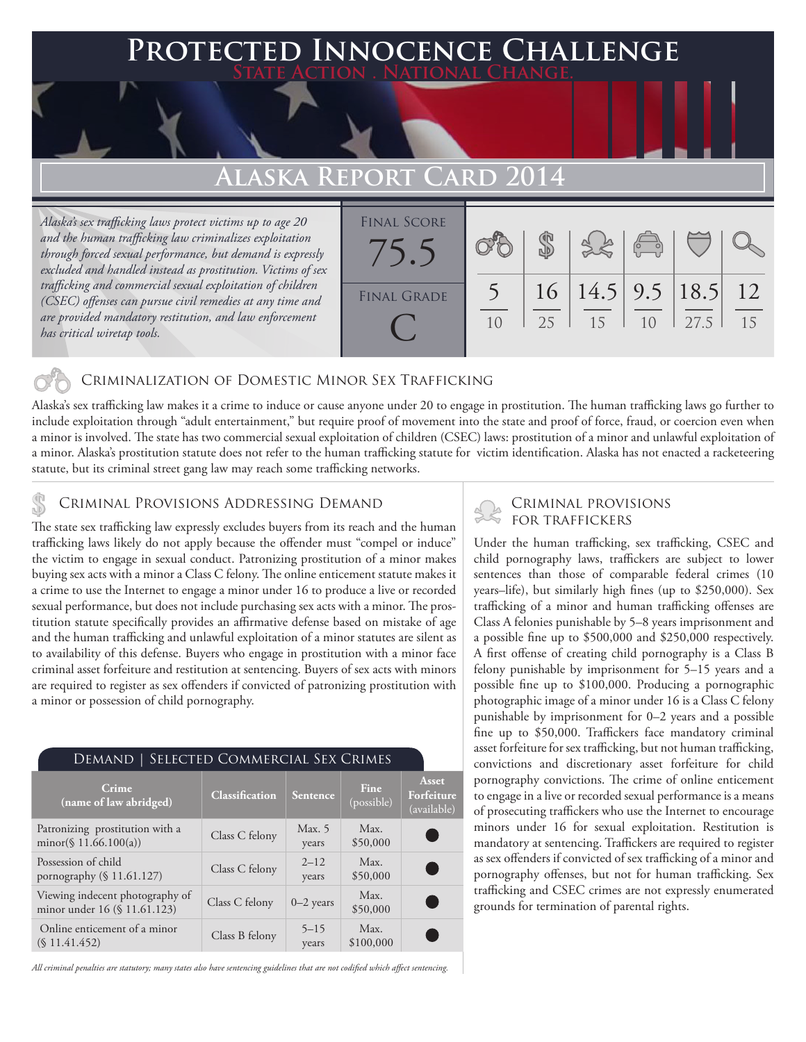## **PED INNOCENCE CHALLENGE State Action . National Change.**

# **Alaska Report Card 2014**

*Alaska's sex trafficking laws protect victims up to age 20 and the human trafficking law criminalizes exploitation through forced sexual performance, but demand is expressly excluded and handled instead as prostitution. Victims of sex trafficking and commercial sexual exploitation of children (CSEC) offenses can pursue civil remedies at any time and are provided mandatory restitution, and law enforcement has critical wiretap tools.*



### Criminalization of Domestic Minor Sex Trafficking

Alaska's sex trafficking law makes it a crime to induce or cause anyone under 20 to engage in prostitution. The human trafficking laws go further to include exploitation through "adult entertainment," but require proof of movement into the state and proof of force, fraud, or coercion even when a minor is involved. The state has two commercial sexual exploitation of children (CSEC) laws: prostitution of a minor and unlawful exploitation of a minor. Alaska's prostitution statute does not refer to the human trafficking statute for victim identification. Alaska has not enacted a racketeering statute, but its criminal street gang law may reach some trafficking networks.

# CRIMINAL PROVISIONS ADDRESSING DEMAND<br>The state our trafficking law averagely avaludes buyers from its reach and the buman FOR TRAFFICKERS

The state sex trafficking law expressly excludes buyers from its reach and the human trafficking laws likely do not apply because the offender must "compel or induce" the victim to engage in sexual conduct. Patronizing prostitution of a minor makes buying sex acts with a minor a Class C felony. The online enticement statute makes it a crime to use the Internet to engage a minor under 16 to produce a live or recorded sexual performance, but does not include purchasing sex acts with a minor. The prostitution statute specifically provides an affirmative defense based on mistake of age and the human trafficking and unlawful exploitation of a minor statutes are silent as to availability of this defense. Buyers who engage in prostitution with a minor face criminal asset forfeiture and restitution at sentencing. Buyers of sex acts with minors are required to register as sex offenders if convicted of patronizing prostitution with a minor or possession of child pornography.

| DEMAND   SELECTED COMMERCIAL SEX CRIMES                         |                       |                   |                    |                                    |
|-----------------------------------------------------------------|-----------------------|-------------------|--------------------|------------------------------------|
| Crime<br>(name of law abridged)                                 | <b>Classification</b> | Sentence          | Fine<br>(possible) | Asset<br>Forfeiture<br>(available) |
| Patronizing prostitution with a<br>minor(§ 11.66.100(a))        | Class C felony        | Max. 5<br>years   | Max.<br>\$50,000   |                                    |
| Possession of child<br>pornography (§ 11.61.127)                | Class C felony        | $2 - 12$<br>years | Max.<br>\$50,000   | C .                                |
| Viewing indecent photography of<br>minor under 16 (§ 11.61.123) | Class C felony        | $0-2$ years       | Max.<br>\$50,000   | C .                                |
| Online enticement of a minor<br>(S11.41.452)                    | Class B felony        | $5 - 15$<br>years | Max.<br>\$100,000  |                                    |

*All criminal penalties are statutory; many states also have sentencing guidelines that are not codified which affect sentencing.* 

Under the human trafficking, sex trafficking, CSEC and child pornography laws, traffickers are subject to lower sentences than those of comparable federal crimes (10 years–life), but similarly high fines (up to \$250,000). Sex trafficking of a minor and human trafficking offenses are Class A felonies punishable by 5–8 years imprisonment and a possible fine up to \$500,000 and \$250,000 respectively. A first offense of creating child pornography is a Class B felony punishable by imprisonment for 5–15 years and a possible fine up to \$100,000. Producing a pornographic photographic image of a minor under 16 is a Class C felony punishable by imprisonment for 0–2 years and a possible fine up to \$50,000. Traffickers face mandatory criminal asset forfeiture for sex trafficking, but not human trafficking, convictions and discretionary asset forfeiture for child pornography convictions. The crime of online enticement to engage in a live or recorded sexual performance is a means of prosecuting traffickers who use the Internet to encourage minors under 16 for sexual exploitation. Restitution is mandatory at sentencing. Traffickers are required to register as sex offenders if convicted of sex trafficking of a minor and pornography offenses, but not for human trafficking. Sex trafficking and CSEC crimes are not expressly enumerated grounds for termination of parental rights.